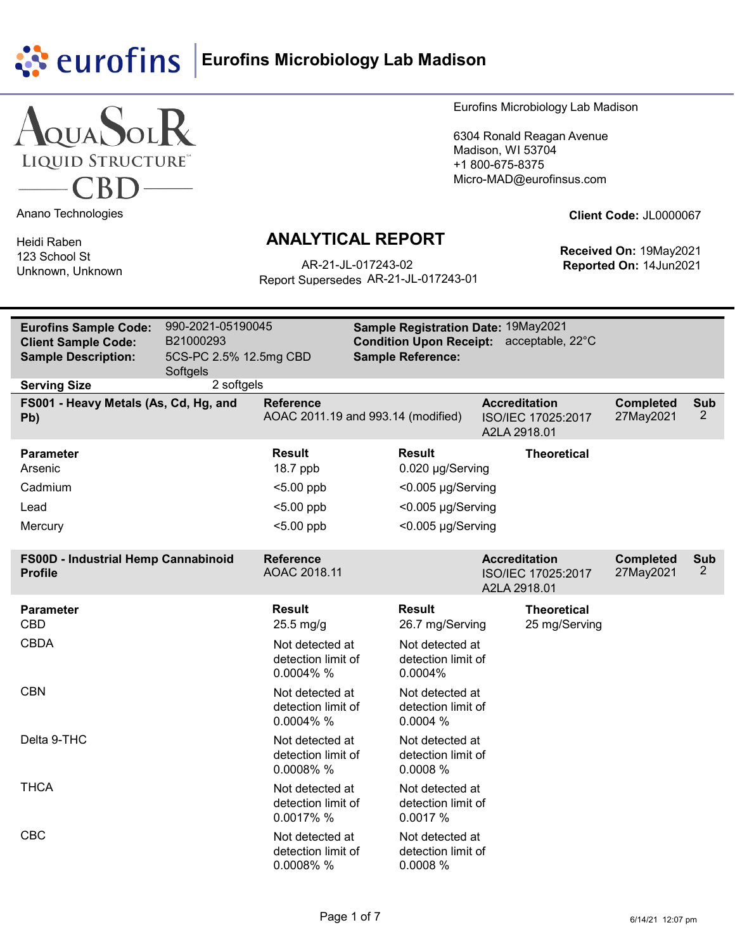



Anano Technologies

Heidi Raben 123 School St Unknown, Unknown

#### Eurofins Microbiology Lab Madison

6304 Ronald Reagan Avenue Madison, WI 53704 +1 800-675-8375 Micro-MAD@eurofinsus.com

#### **Client Code:** JL0000067

#### **ANALYTICAL REPORT**

Report Supersedes AR-21-JL-017243-01 AR-21-JL-017243-02 **Reported On:** 14Jun2021

| <b>Eurofins Sample Code:</b><br><b>Client Sample Code:</b><br><b>Sample Description:</b> | 990-2021-05190045<br>B21000293<br>5CS-PC 2.5% 12.5mg CBD<br>Softgels |                                                        | Sample Registration Date: 19May2021<br><b>Condition Upon Receipt:</b><br><b>Sample Reference:</b> |                                      | acceptable, 22°C                    |                               |                 |
|------------------------------------------------------------------------------------------|----------------------------------------------------------------------|--------------------------------------------------------|---------------------------------------------------------------------------------------------------|--------------------------------------|-------------------------------------|-------------------------------|-----------------|
| <b>Serving Size</b>                                                                      | 2 softgels                                                           |                                                        |                                                                                                   |                                      |                                     |                               |                 |
| FS001 - Heavy Metals (As, Cd, Hg, and<br>Pb)                                             |                                                                      | <b>Reference</b><br>AOAC 2011.19 and 993.14 (modified) |                                                                                                   | <b>Accreditation</b><br>A2LA 2918.01 | ISO/IEC 17025:2017                  | <b>Completed</b><br>27May2021 | <b>Sub</b><br>2 |
| <b>Parameter</b><br>Arsenic                                                              |                                                                      | <b>Result</b><br>18.7 ppb                              | <b>Result</b><br>0.020 µg/Serving                                                                 |                                      | <b>Theoretical</b>                  |                               |                 |
| Cadmium                                                                                  |                                                                      | <5.00 ppb                                              | <0.005 µg/Serving                                                                                 |                                      |                                     |                               |                 |
| Lead                                                                                     |                                                                      | $5.00$ ppb                                             | <0.005 µg/Serving                                                                                 |                                      |                                     |                               |                 |
| Mercury                                                                                  |                                                                      | $5.00$ ppb                                             | <0.005 µg/Serving                                                                                 |                                      |                                     |                               |                 |
| FS00D - Industrial Hemp Cannabinoid<br><b>Profile</b>                                    |                                                                      | <b>Reference</b><br>AOAC 2018.11                       |                                                                                                   | <b>Accreditation</b><br>A2LA 2918.01 | ISO/IEC 17025:2017                  | <b>Completed</b><br>27May2021 | <b>Sub</b><br>2 |
| <b>Parameter</b><br><b>CBD</b>                                                           |                                                                      | <b>Result</b><br>25.5 mg/g                             | <b>Result</b><br>26.7 mg/Serving                                                                  |                                      | <b>Theoretical</b><br>25 mg/Serving |                               |                 |
| <b>CBDA</b>                                                                              |                                                                      | Not detected at<br>detection limit of<br>0.0004%%      | Not detected at<br>detection limit of<br>$0.0004\%$                                               |                                      |                                     |                               |                 |
| <b>CBN</b>                                                                               |                                                                      | Not detected at<br>detection limit of<br>$0.0004\%$ %  | Not detected at<br>detection limit of<br>0.0004%                                                  |                                      |                                     |                               |                 |
| Delta 9-THC                                                                              |                                                                      | Not detected at<br>detection limit of<br>0.0008%%      | Not detected at<br>detection limit of<br>0.0008 %                                                 |                                      |                                     |                               |                 |
| <b>THCA</b>                                                                              |                                                                      | Not detected at<br>detection limit of<br>0.0017%%      | Not detected at<br>detection limit of<br>0.0017 %                                                 |                                      |                                     |                               |                 |
| <b>CBC</b>                                                                               |                                                                      | Not detected at<br>detection limit of<br>0.0008% %     | Not detected at<br>detection limit of<br>0.0008 %                                                 |                                      |                                     |                               |                 |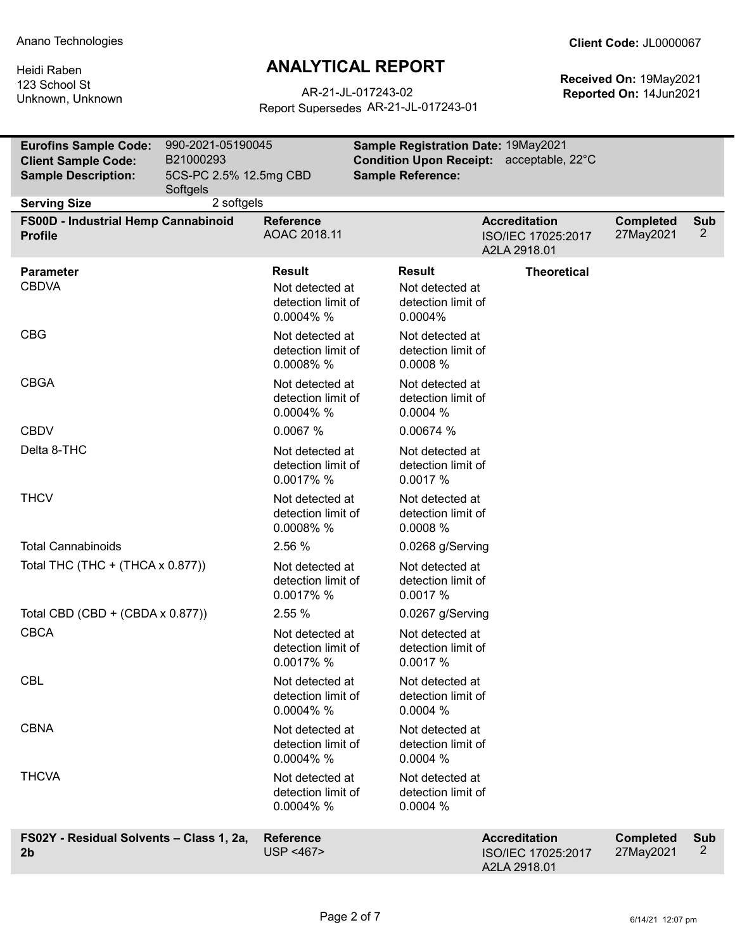# **ANALYTICAL REPORT**

Report Supersedes AR-21-JL-017243-01 AR-21-JL-017243-02 **Reported On:** 14Jun2021

| <b>Eurofins Sample Code:</b><br><b>Client Sample Code:</b><br><b>Sample Description:</b> | 990-2021-05190045<br>B21000293<br>5CS-PC 2.5% 12.5mg CBD |                                                                        | Sample Registration Date: 19May2021<br>Condition Upon Receipt: acceptable, 22°C<br><b>Sample Reference:</b> |                                                            |                               |                              |
|------------------------------------------------------------------------------------------|----------------------------------------------------------|------------------------------------------------------------------------|-------------------------------------------------------------------------------------------------------------|------------------------------------------------------------|-------------------------------|------------------------------|
|                                                                                          | Softgels                                                 |                                                                        |                                                                                                             |                                                            |                               |                              |
| <b>Serving Size</b>                                                                      | 2 softgels                                               |                                                                        |                                                                                                             |                                                            |                               |                              |
| FS00D - Industrial Hemp Cannabinoid<br><b>Profile</b>                                    |                                                          | <b>Reference</b><br>AOAC 2018.11                                       |                                                                                                             | <b>Accreditation</b><br>ISO/IEC 17025:2017<br>A2LA 2918.01 | <b>Completed</b><br>27May2021 | Sub<br>2                     |
| <b>Parameter</b><br><b>CBDVA</b>                                                         |                                                          | <b>Result</b><br>Not detected at<br>detection limit of<br>$0.0004\%$ % | <b>Result</b><br>Not detected at<br>detection limit of<br>0.0004%                                           | <b>Theoretical</b>                                         |                               |                              |
| <b>CBG</b>                                                                               |                                                          | Not detected at<br>detection limit of<br>0.0008%%                      | Not detected at<br>detection limit of<br>0.0008%                                                            |                                                            |                               |                              |
| <b>CBGA</b>                                                                              |                                                          | Not detected at<br>detection limit of<br>0.0004%%                      | Not detected at<br>detection limit of<br>0.0004%                                                            |                                                            |                               |                              |
| <b>CBDV</b>                                                                              |                                                          | 0.0067 %                                                               | 0.00674 %                                                                                                   |                                                            |                               |                              |
| Delta 8-THC                                                                              |                                                          | Not detected at<br>detection limit of<br>0.0017%%                      | Not detected at<br>detection limit of<br>0.0017 %                                                           |                                                            |                               |                              |
| <b>THCV</b>                                                                              |                                                          | Not detected at<br>detection limit of<br>0.0008%%                      | Not detected at<br>detection limit of<br>0.0008%                                                            |                                                            |                               |                              |
| <b>Total Cannabinoids</b>                                                                |                                                          | 2.56 %                                                                 | 0.0268 g/Serving                                                                                            |                                                            |                               |                              |
| Total THC (THC + (THCA x 0.877))                                                         |                                                          | Not detected at<br>detection limit of<br>0.0017%%                      | Not detected at<br>detection limit of<br>0.0017 %                                                           |                                                            |                               |                              |
| Total CBD (CBD + (CBDA x 0.877))                                                         |                                                          | 2.55 %                                                                 | 0.0267 g/Serving                                                                                            |                                                            |                               |                              |
| <b>CBCA</b>                                                                              |                                                          | Not detected at<br>detection limit of<br>0.0017%%                      | Not detected at<br>detection limit of<br>0.0017 %                                                           |                                                            |                               |                              |
| <b>CBL</b>                                                                               |                                                          | Not detected at<br>detection limit of<br>0.0004%%                      | Not detected at<br>detection limit of<br>0.0004%                                                            |                                                            |                               |                              |
| <b>CBNA</b>                                                                              |                                                          | Not detected at<br>detection limit of<br>0.0004%%                      | Not detected at<br>detection limit of<br>0.0004 %                                                           |                                                            |                               |                              |
| <b>THCVA</b>                                                                             |                                                          | Not detected at<br>detection limit of<br>0.0004% %                     | Not detected at<br>detection limit of<br>0.0004%                                                            |                                                            |                               |                              |
| FS02Y - Residual Solvents - Class 1, 2a,<br>2 <sub>b</sub>                               |                                                          | <b>Reference</b><br>USP <467>                                          |                                                                                                             | <b>Accreditation</b><br>ISO/IEC 17025:2017<br>A2LA 2918.01 | <b>Completed</b><br>27May2021 | <b>Sub</b><br>$\overline{2}$ |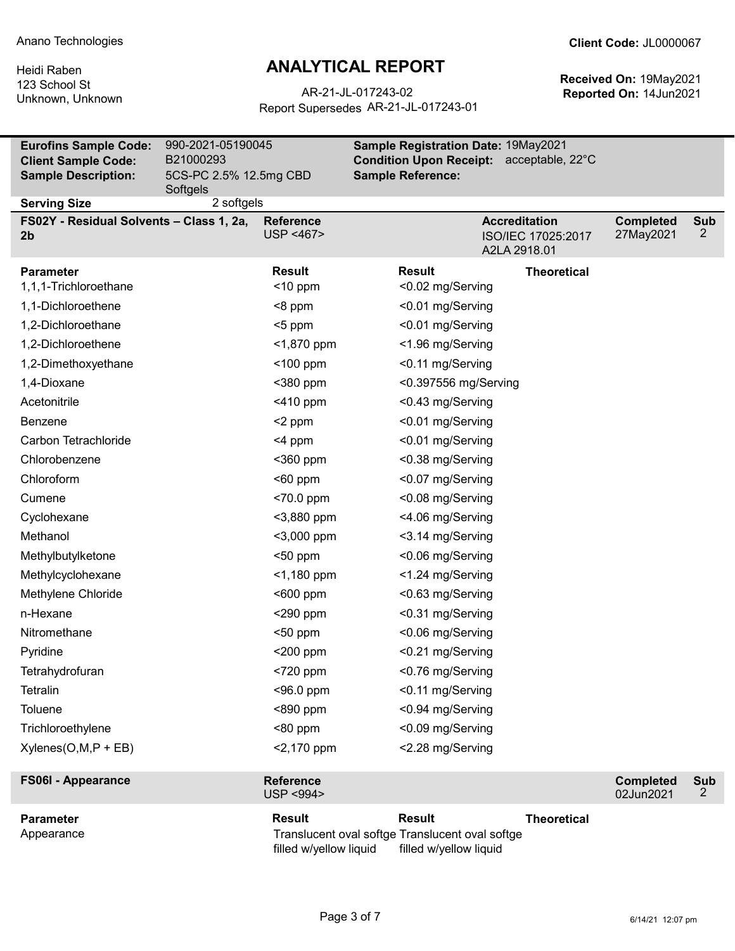# **ANALYTICAL REPORT**

Report Supersedes AR-21-JL-017243-01 AR-21-JL-017243-02 **Reported On:** 14Jun2021

| <b>Eurofins Sample Code:</b>                               | 990-2021-05190045                   |                                            | Sample Registration Date: 19May2021                                       |                                                            |                               |                              |
|------------------------------------------------------------|-------------------------------------|--------------------------------------------|---------------------------------------------------------------------------|------------------------------------------------------------|-------------------------------|------------------------------|
| <b>Client Sample Code:</b><br><b>Sample Description:</b>   | B21000293<br>5CS-PC 2.5% 12.5mg CBD |                                            | <b>Condition Upon Receipt:</b><br><b>Sample Reference:</b>                | acceptable, 22°C                                           |                               |                              |
|                                                            | Softgels                            |                                            |                                                                           |                                                            |                               |                              |
| <b>Serving Size</b>                                        | 2 softgels                          |                                            |                                                                           |                                                            |                               |                              |
| FS02Y - Residual Solvents - Class 1, 2a,<br>2 <sub>b</sub> |                                     | <b>Reference</b><br>USP <467>              |                                                                           | <b>Accreditation</b><br>ISO/IEC 17025:2017<br>A2LA 2918.01 | <b>Completed</b><br>27May2021 | Sub<br>$\overline{2}$        |
| <b>Parameter</b><br>1,1,1-Trichloroethane                  |                                     | <b>Result</b><br>$<$ 10 ppm                | <b>Result</b><br><0.02 mg/Serving                                         | <b>Theoretical</b>                                         |                               |                              |
| 1,1-Dichloroethene                                         |                                     | <8 ppm                                     | <0.01 mg/Serving                                                          |                                                            |                               |                              |
| 1,2-Dichloroethane                                         |                                     | $<$ 5 ppm                                  | <0.01 mg/Serving                                                          |                                                            |                               |                              |
| 1,2-Dichloroethene                                         |                                     | $<$ 1,870 ppm                              | <1.96 mg/Serving                                                          |                                                            |                               |                              |
| 1,2-Dimethoxyethane                                        |                                     | $<$ 100 ppm                                | <0.11 mg/Serving                                                          |                                                            |                               |                              |
| 1,4-Dioxane                                                |                                     | $380$ ppm                                  | <0.397556 mg/Serving                                                      |                                                            |                               |                              |
| Acetonitrile                                               |                                     | $<$ 410 ppm                                | <0.43 mg/Serving                                                          |                                                            |                               |                              |
| Benzene                                                    |                                     | <2 ppm                                     | <0.01 mg/Serving                                                          |                                                            |                               |                              |
| Carbon Tetrachloride                                       |                                     | <4 ppm                                     | <0.01 mg/Serving                                                          |                                                            |                               |                              |
| Chlorobenzene                                              |                                     | $360$ ppm                                  | <0.38 mg/Serving                                                          |                                                            |                               |                              |
| Chloroform                                                 |                                     | $60$ ppm                                   | <0.07 mg/Serving                                                          |                                                            |                               |                              |
| Cumene                                                     |                                     | <70.0 ppm                                  | <0.08 mg/Serving                                                          |                                                            |                               |                              |
| Cyclohexane                                                |                                     | $<$ 3,880 ppm                              | <4.06 mg/Serving                                                          |                                                            |                               |                              |
| Methanol                                                   |                                     | <3,000 ppm                                 | <3.14 mg/Serving                                                          |                                                            |                               |                              |
| Methylbutylketone                                          |                                     | $<$ 50 ppm                                 | <0.06 mg/Serving                                                          |                                                            |                               |                              |
| Methylcyclohexane                                          |                                     | $<$ 1,180 ppm                              | <1.24 mg/Serving                                                          |                                                            |                               |                              |
| Methylene Chloride                                         |                                     | $600$ ppm                                  | <0.63 mg/Serving                                                          |                                                            |                               |                              |
| n-Hexane                                                   |                                     | $<$ 290 ppm                                | <0.31 mg/Serving                                                          |                                                            |                               |                              |
| Nitromethane                                               |                                     | $<$ 50 ppm                                 | <0.06 mg/Serving                                                          |                                                            |                               |                              |
| Pyridine                                                   |                                     | $<$ 200 ppm                                | <0.21 mg/Serving                                                          |                                                            |                               |                              |
| Tetrahydrofuran                                            |                                     | <720 ppm                                   | <0.76 mg/Serving                                                          |                                                            |                               |                              |
| <b>Tetralin</b>                                            |                                     | $<$ 96.0 ppm                               | <0.11 mg/Serving                                                          |                                                            |                               |                              |
| Toluene                                                    |                                     | $<$ 890 ppm                                | <0.94 mg/Serving                                                          |                                                            |                               |                              |
| Trichloroethylene                                          |                                     | $80$ ppm                                   | <0.09 mg/Serving                                                          |                                                            |                               |                              |
| $Xylenes(O, M, P + EB)$                                    |                                     | $<$ 2,170 ppm                              | <2.28 mg/Serving                                                          |                                                            |                               |                              |
| <b>FS06I - Appearance</b>                                  |                                     | <b>Reference</b><br><b>USP &lt;994&gt;</b> |                                                                           |                                                            | <b>Completed</b><br>02Jun2021 | Sub<br>$\mathbf{2}^{\prime}$ |
| <b>Parameter</b>                                           |                                     | <b>Result</b>                              | <b>Result</b>                                                             | <b>Theoretical</b>                                         |                               |                              |
| Appearance                                                 |                                     | filled w/yellow liquid                     | Translucent oval softge Translucent oval softge<br>filled w/yellow liquid |                                                            |                               |                              |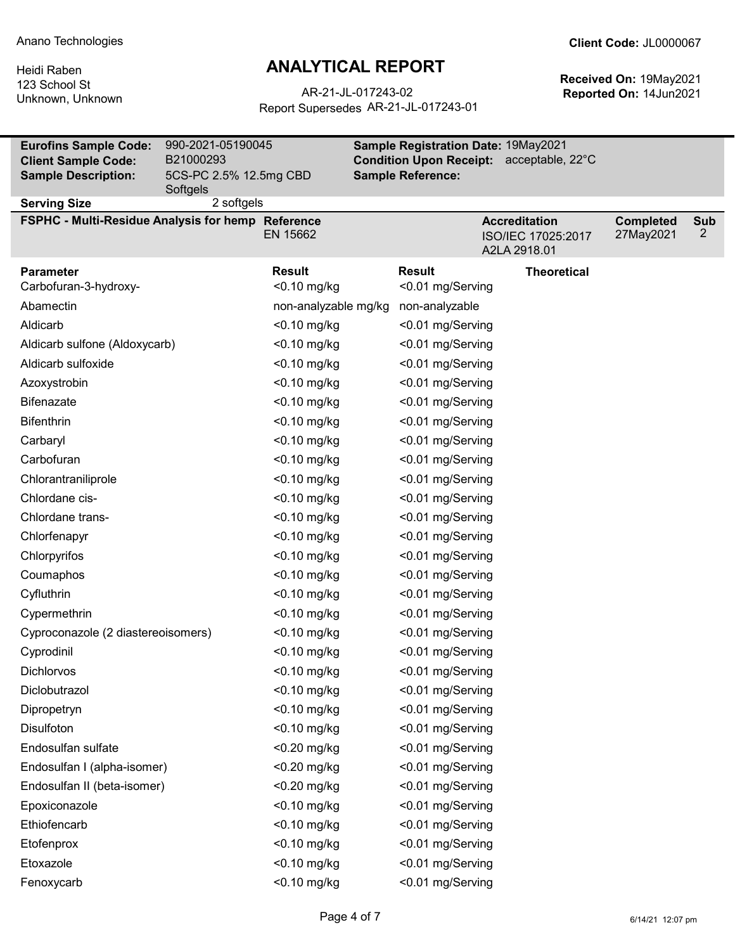# **ANALYTICAL REPORT**

Report Supersedes AR-21-JL-017243-01 AR-21-JL-017243-02 **Reported On:** 14Jun2021

| <b>Eurofins Sample Code:</b><br><b>Client Sample Code:</b> | 990-2021-05190045<br>B21000293 |                              | Sample Registration Date: 19May2021<br><b>Condition Upon Receipt:</b><br>acceptable, 22°C |                                   |                                                            |                               |                 |
|------------------------------------------------------------|--------------------------------|------------------------------|-------------------------------------------------------------------------------------------|-----------------------------------|------------------------------------------------------------|-------------------------------|-----------------|
| <b>Sample Description:</b>                                 | 5CS-PC 2.5% 12.5mg CBD         |                              |                                                                                           | <b>Sample Reference:</b>          |                                                            |                               |                 |
|                                                            | Softgels                       |                              |                                                                                           |                                   |                                                            |                               |                 |
| <b>Serving Size</b>                                        | 2 softgels                     |                              |                                                                                           |                                   |                                                            |                               |                 |
| FSPHC - Multi-Residue Analysis for hemp Reference          |                                | EN 15662                     |                                                                                           |                                   | <b>Accreditation</b><br>ISO/IEC 17025:2017<br>A2LA 2918.01 | <b>Completed</b><br>27May2021 | <b>Sub</b><br>2 |
| <b>Parameter</b><br>Carbofuran-3-hydroxy-                  |                                | <b>Result</b><br><0.10 mg/kg |                                                                                           | <b>Result</b><br><0.01 mg/Serving | <b>Theoretical</b>                                         |                               |                 |
| Abamectin                                                  |                                | non-analyzable mg/kg         |                                                                                           | non-analyzable                    |                                                            |                               |                 |
| Aldicarb                                                   |                                | $<$ 0.10 mg/kg               |                                                                                           | <0.01 mg/Serving                  |                                                            |                               |                 |
| Aldicarb sulfone (Aldoxycarb)                              |                                | <0.10 mg/kg                  |                                                                                           | <0.01 mg/Serving                  |                                                            |                               |                 |
| Aldicarb sulfoxide                                         |                                | <0.10 mg/kg                  |                                                                                           | <0.01 mg/Serving                  |                                                            |                               |                 |
| Azoxystrobin                                               |                                | <0.10 mg/kg                  |                                                                                           | <0.01 mg/Serving                  |                                                            |                               |                 |
| <b>Bifenazate</b>                                          |                                | $<$ 0.10 mg/kg               |                                                                                           | <0.01 mg/Serving                  |                                                            |                               |                 |
| <b>Bifenthrin</b>                                          |                                | <0.10 mg/kg                  |                                                                                           | <0.01 mg/Serving                  |                                                            |                               |                 |
| Carbaryl                                                   |                                | <0.10 mg/kg                  |                                                                                           | <0.01 mg/Serving                  |                                                            |                               |                 |
| Carbofuran                                                 |                                | <0.10 mg/kg                  |                                                                                           | <0.01 mg/Serving                  |                                                            |                               |                 |
| Chlorantraniliprole                                        |                                | <0.10 mg/kg                  |                                                                                           | <0.01 mg/Serving                  |                                                            |                               |                 |
| Chlordane cis-                                             |                                | <0.10 mg/kg                  |                                                                                           | <0.01 mg/Serving                  |                                                            |                               |                 |
| Chlordane trans-                                           |                                | <0.10 mg/kg                  |                                                                                           | <0.01 mg/Serving                  |                                                            |                               |                 |
| Chlorfenapyr                                               |                                | <0.10 mg/kg                  |                                                                                           | <0.01 mg/Serving                  |                                                            |                               |                 |
| Chlorpyrifos                                               |                                | <0.10 mg/kg                  |                                                                                           | <0.01 mg/Serving                  |                                                            |                               |                 |
| Coumaphos                                                  |                                | <0.10 mg/kg                  |                                                                                           | <0.01 mg/Serving                  |                                                            |                               |                 |
| Cyfluthrin                                                 |                                | <0.10 mg/kg                  |                                                                                           | <0.01 mg/Serving                  |                                                            |                               |                 |
| Cypermethrin                                               |                                | <0.10 mg/kg                  |                                                                                           | <0.01 mg/Serving                  |                                                            |                               |                 |
| Cyproconazole (2 diastereoisomers)                         |                                | <0.10 mg/kg                  |                                                                                           | <0.01 mg/Serving                  |                                                            |                               |                 |
| Cyprodinil                                                 |                                | <0.10 mg/kg                  |                                                                                           | <0.01 mg/Serving                  |                                                            |                               |                 |
| Dichlorvos                                                 |                                | <0.10 mg/kg                  |                                                                                           | <0.01 mg/Serving                  |                                                            |                               |                 |
| Diclobutrazol                                              |                                | <0.10 mg/kg                  |                                                                                           | <0.01 mg/Serving                  |                                                            |                               |                 |
| Dipropetryn                                                |                                | <0.10 mg/kg                  |                                                                                           | <0.01 mg/Serving                  |                                                            |                               |                 |
| Disulfoton                                                 |                                | <0.10 mg/kg                  |                                                                                           | <0.01 mg/Serving                  |                                                            |                               |                 |
| Endosulfan sulfate                                         |                                | <0.20 mg/kg                  |                                                                                           | <0.01 mg/Serving                  |                                                            |                               |                 |
| Endosulfan I (alpha-isomer)                                |                                | $<$ 0.20 mg/kg               |                                                                                           | <0.01 mg/Serving                  |                                                            |                               |                 |
| Endosulfan II (beta-isomer)                                |                                | <0.20 mg/kg                  |                                                                                           | <0.01 mg/Serving                  |                                                            |                               |                 |
| Epoxiconazole                                              |                                | <0.10 mg/kg                  |                                                                                           | <0.01 mg/Serving                  |                                                            |                               |                 |
| Ethiofencarb                                               |                                | <0.10 mg/kg                  |                                                                                           | <0.01 mg/Serving                  |                                                            |                               |                 |
| Etofenprox                                                 |                                | <0.10 mg/kg                  |                                                                                           | <0.01 mg/Serving                  |                                                            |                               |                 |
| Etoxazole                                                  |                                | <0.10 mg/kg                  |                                                                                           | <0.01 mg/Serving                  |                                                            |                               |                 |
| Fenoxycarb                                                 |                                | <0.10 mg/kg                  |                                                                                           | <0.01 mg/Serving                  |                                                            |                               |                 |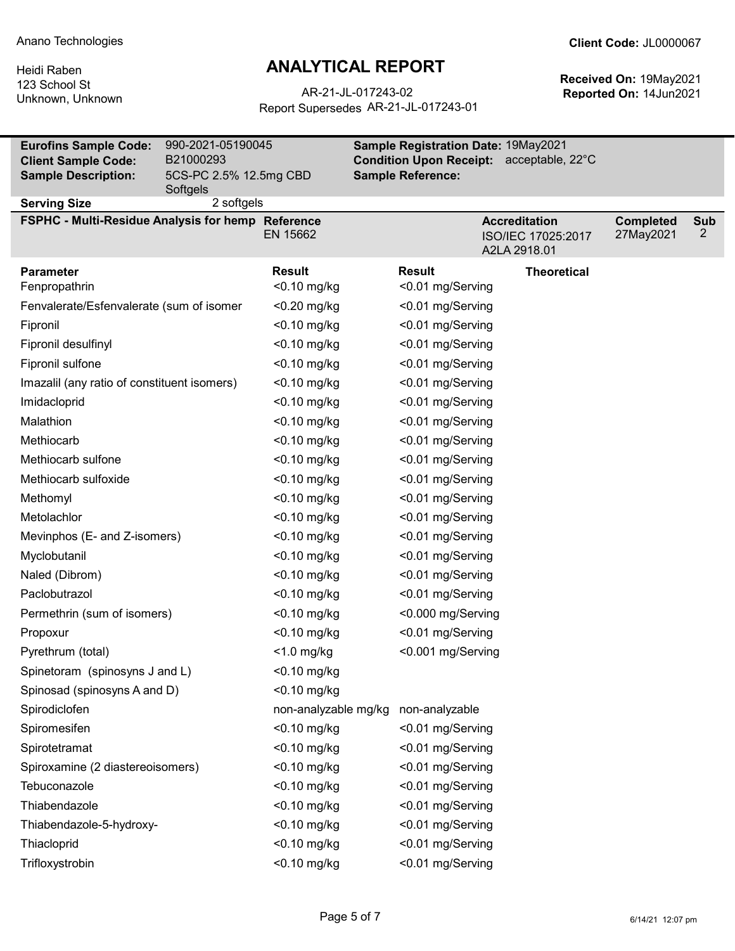# **ANALYTICAL REPORT**

Report Supersedes AR-21-JL-017243-01 AR-21-JL-017243-02 **Reported On:** 14Jun2021

| <b>Eurofins Sample Code:</b><br><b>Client Sample Code:</b><br><b>Sample Description:</b> | 990-2021-05190045<br>B21000293<br>5CS-PC 2.5% 12.5mg CBD<br>Softgels |                              | Sample Registration Date: 19May2021<br>Condition Upon Receipt: acceptable, 22°C<br><b>Sample Reference:</b> |                                                            |                               |                 |
|------------------------------------------------------------------------------------------|----------------------------------------------------------------------|------------------------------|-------------------------------------------------------------------------------------------------------------|------------------------------------------------------------|-------------------------------|-----------------|
| <b>Serving Size</b>                                                                      | 2 softgels                                                           |                              |                                                                                                             |                                                            |                               |                 |
| FSPHC - Multi-Residue Analysis for hemp Reference                                        |                                                                      | EN 15662                     |                                                                                                             | <b>Accreditation</b><br>ISO/IEC 17025:2017<br>A2LA 2918.01 | <b>Completed</b><br>27May2021 | <b>Sub</b><br>2 |
| <b>Parameter</b><br>Fenpropathrin                                                        |                                                                      | <b>Result</b><br><0.10 mg/kg | <b>Result</b><br><0.01 mg/Serving                                                                           | <b>Theoretical</b>                                         |                               |                 |
| Fenvalerate/Esfenvalerate (sum of isomer                                                 |                                                                      | $<$ 0.20 mg/kg               | <0.01 mg/Serving                                                                                            |                                                            |                               |                 |
| Fipronil                                                                                 |                                                                      | <0.10 mg/kg                  | <0.01 mg/Serving                                                                                            |                                                            |                               |                 |
| Fipronil desulfinyl                                                                      |                                                                      | <0.10 mg/kg                  | <0.01 mg/Serving                                                                                            |                                                            |                               |                 |
| Fipronil sulfone                                                                         |                                                                      | <0.10 mg/kg                  | <0.01 mg/Serving                                                                                            |                                                            |                               |                 |
| Imazalil (any ratio of constituent isomers)                                              |                                                                      | <0.10 mg/kg                  | <0.01 mg/Serving                                                                                            |                                                            |                               |                 |
| Imidacloprid                                                                             |                                                                      | <0.10 mg/kg                  | <0.01 mg/Serving                                                                                            |                                                            |                               |                 |
| Malathion                                                                                |                                                                      | <0.10 mg/kg                  | <0.01 mg/Serving                                                                                            |                                                            |                               |                 |
| Methiocarb                                                                               |                                                                      | <0.10 mg/kg                  | <0.01 mg/Serving                                                                                            |                                                            |                               |                 |
| Methiocarb sulfone                                                                       |                                                                      | <0.10 mg/kg                  | <0.01 mg/Serving                                                                                            |                                                            |                               |                 |
| Methiocarb sulfoxide                                                                     |                                                                      | $<$ 0.10 mg/kg               | <0.01 mg/Serving                                                                                            |                                                            |                               |                 |
| Methomyl                                                                                 |                                                                      | <0.10 mg/kg                  | <0.01 mg/Serving                                                                                            |                                                            |                               |                 |
| Metolachlor                                                                              |                                                                      | <0.10 mg/kg                  | <0.01 mg/Serving                                                                                            |                                                            |                               |                 |
| Mevinphos (E- and Z-isomers)                                                             |                                                                      | <0.10 mg/kg                  | <0.01 mg/Serving                                                                                            |                                                            |                               |                 |
| Myclobutanil                                                                             |                                                                      | <0.10 mg/kg                  | <0.01 mg/Serving                                                                                            |                                                            |                               |                 |
| Naled (Dibrom)                                                                           |                                                                      | <0.10 mg/kg                  | <0.01 mg/Serving                                                                                            |                                                            |                               |                 |
| Paclobutrazol                                                                            |                                                                      | <0.10 mg/kg                  | <0.01 mg/Serving                                                                                            |                                                            |                               |                 |
| Permethrin (sum of isomers)                                                              |                                                                      | <0.10 mg/kg                  | <0.000 mg/Serving                                                                                           |                                                            |                               |                 |
| Propoxur                                                                                 |                                                                      | <0.10 mg/kg                  | <0.01 mg/Serving                                                                                            |                                                            |                               |                 |
| Pyrethrum (total)                                                                        |                                                                      | $<$ 1.0 mg/kg                | <0.001 mg/Serving                                                                                           |                                                            |                               |                 |
| Spinetoram (spinosyns J and L)                                                           |                                                                      | <0.10 mg/kg                  |                                                                                                             |                                                            |                               |                 |
| Spinosad (spinosyns A and D)                                                             |                                                                      | <0.10 mg/kg                  |                                                                                                             |                                                            |                               |                 |
| Spirodiclofen                                                                            |                                                                      | non-analyzable mg/kg         | non-analyzable                                                                                              |                                                            |                               |                 |
| Spiromesifen                                                                             |                                                                      | <0.10 mg/kg                  | <0.01 mg/Serving                                                                                            |                                                            |                               |                 |
| Spirotetramat                                                                            |                                                                      | <0.10 mg/kg                  | <0.01 mg/Serving                                                                                            |                                                            |                               |                 |
| Spiroxamine (2 diastereoisomers)                                                         |                                                                      | <0.10 mg/kg                  | <0.01 mg/Serving                                                                                            |                                                            |                               |                 |
| Tebuconazole                                                                             |                                                                      | <0.10 mg/kg                  | <0.01 mg/Serving                                                                                            |                                                            |                               |                 |
| Thiabendazole                                                                            |                                                                      | <0.10 mg/kg                  | <0.01 mg/Serving                                                                                            |                                                            |                               |                 |
| Thiabendazole-5-hydroxy-                                                                 |                                                                      | <0.10 mg/kg                  | <0.01 mg/Serving                                                                                            |                                                            |                               |                 |
| Thiacloprid                                                                              |                                                                      | <0.10 mg/kg                  | <0.01 mg/Serving                                                                                            |                                                            |                               |                 |
| Trifloxystrobin                                                                          |                                                                      | <0.10 mg/kg                  | <0.01 mg/Serving                                                                                            |                                                            |                               |                 |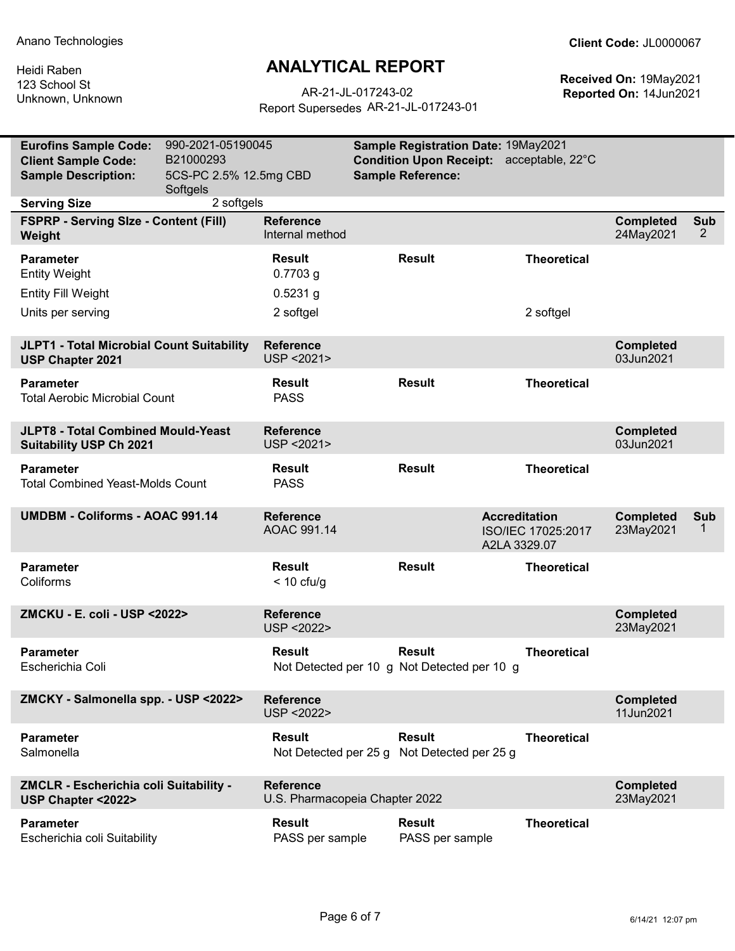## **ANALYTICAL REPORT**

Report Supersedes AR-21-JL-017243-01 AR-21-JL-017243-02 **Reported On:** 14Jun2021

| <b>Eurofins Sample Code:</b>                                                | 990-2021-05190045<br>B21000293 |                                                    | Sample Registration Date: 19May2021<br><b>Condition Upon Receipt:</b><br>acceptable, 22°C |                                                              |                                                            |                               |                              |
|-----------------------------------------------------------------------------|--------------------------------|----------------------------------------------------|-------------------------------------------------------------------------------------------|--------------------------------------------------------------|------------------------------------------------------------|-------------------------------|------------------------------|
| <b>Client Sample Code:</b><br><b>Sample Description:</b>                    | 5CS-PC 2.5% 12.5mg CBD         |                                                    |                                                                                           | <b>Sample Reference:</b>                                     |                                                            |                               |                              |
|                                                                             | Softgels                       |                                                    |                                                                                           |                                                              |                                                            |                               |                              |
| <b>Serving Size</b>                                                         | 2 softgels                     |                                                    |                                                                                           |                                                              |                                                            |                               |                              |
| FSPRP - Serving SIze - Content (Fill)<br>Weight                             |                                | <b>Reference</b><br>Internal method                |                                                                                           |                                                              |                                                            | <b>Completed</b><br>24May2021 | <b>Sub</b><br>$\overline{2}$ |
| <b>Parameter</b><br><b>Entity Weight</b>                                    |                                | <b>Result</b><br>$0.7703$ g                        |                                                                                           | <b>Result</b>                                                | <b>Theoretical</b>                                         |                               |                              |
| <b>Entity Fill Weight</b>                                                   |                                | $0.5231$ g                                         |                                                                                           |                                                              |                                                            |                               |                              |
| Units per serving                                                           |                                | 2 softgel                                          |                                                                                           |                                                              | 2 softgel                                                  |                               |                              |
| JLPT1 - Total Microbial Count Suitability<br><b>USP Chapter 2021</b>        |                                | <b>Reference</b><br>USP <2021>                     |                                                                                           |                                                              |                                                            | <b>Completed</b><br>03Jun2021 |                              |
| <b>Parameter</b><br><b>Total Aerobic Microbial Count</b>                    |                                | <b>Result</b><br><b>PASS</b>                       |                                                                                           | <b>Result</b>                                                | <b>Theoretical</b>                                         |                               |                              |
| <b>JLPT8 - Total Combined Mould-Yeast</b><br><b>Suitability USP Ch 2021</b> |                                | <b>Reference</b><br>USP <2021>                     |                                                                                           |                                                              |                                                            | <b>Completed</b><br>03Jun2021 |                              |
| <b>Parameter</b><br><b>Total Combined Yeast-Molds Count</b>                 |                                | <b>Result</b><br><b>PASS</b>                       |                                                                                           | <b>Result</b>                                                | <b>Theoretical</b>                                         |                               |                              |
| <b>UMDBM - Coliforms - AOAC 991.14</b>                                      |                                | <b>Reference</b><br>AOAC 991.14                    |                                                                                           |                                                              | <b>Accreditation</b><br>ISO/IEC 17025:2017<br>A2LA 3329.07 | <b>Completed</b><br>23May2021 | <b>Sub</b><br>1              |
| <b>Parameter</b><br>Coliforms                                               |                                | <b>Result</b><br>$<$ 10 cfu/g                      |                                                                                           | <b>Result</b>                                                | <b>Theoretical</b>                                         |                               |                              |
| ZMCKU - E. coli - USP <2022>                                                |                                | <b>Reference</b><br>USP < 2022>                    |                                                                                           |                                                              |                                                            | <b>Completed</b><br>23May2021 |                              |
| <b>Parameter</b><br>Escherichia Coli                                        |                                | <b>Result</b>                                      |                                                                                           | <b>Result</b><br>Not Detected per 10 g Not Detected per 10 g | <b>Theoretical</b>                                         |                               |                              |
| ZMCKY - Salmonella spp. - USP <2022>                                        |                                | <b>Reference</b><br>USP < 2022>                    |                                                                                           |                                                              |                                                            | <b>Completed</b><br>11Jun2021 |                              |
| <b>Parameter</b><br>Salmonella                                              |                                | <b>Result</b><br>Not Detected per 25 g             |                                                                                           | <b>Result</b><br>Not Detected per 25 g                       | <b>Theoretical</b>                                         |                               |                              |
| ZMCLR - Escherichia coli Suitability -<br>USP Chapter <2022>                |                                | <b>Reference</b><br>U.S. Pharmacopeia Chapter 2022 |                                                                                           |                                                              |                                                            | <b>Completed</b><br>23May2021 |                              |
| <b>Parameter</b><br>Escherichia coli Suitability                            |                                | <b>Result</b><br>PASS per sample                   |                                                                                           | <b>Result</b><br>PASS per sample                             | <b>Theoretical</b>                                         |                               |                              |